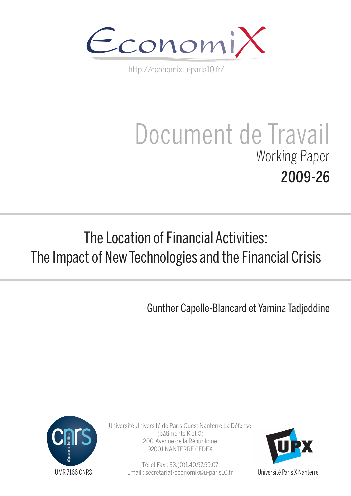

http://economix.u-paris10.fr/

# Document de Travail Working Paper 2009-26

## The Location of Financial Activities: The Impact of New Technologies and the Financial Crisis

Gunther Capelle-Blancard et Yamina Tadjeddine



Université Université de Paris Ouest Nanterre La Défense (bâtiments K et G) 200, Avenue de la République 92001 NANTERRE CEDEX

> Tél et Fax : 33.(0)1.40.97.59.07 Email : secretariat-economix@u-paris10.fr



Université Paris X Nanterre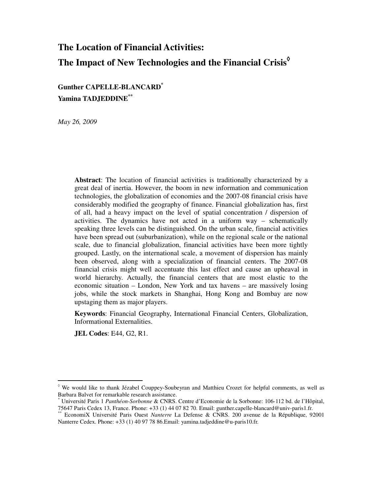### **The Location of Financial Activities: The Impact of New Technologies and the Financial Crisis**◊

**Gunther CAPELLE-BLANCARD\* Yamina TADJEDDINE\*\***

*May 26, 2009* 

**Abstract**: The location of financial activities is traditionally characterized by a great deal of inertia. However, the boom in new information and communication technologies, the globalization of economies and the 2007-08 financial crisis have considerably modified the geography of finance. Financial globalization has, first of all, had a heavy impact on the level of spatial concentration / dispersion of activities. The dynamics have not acted in a uniform way – schematically speaking three levels can be distinguished. On the urban scale, financial activities have been spread out (suburbanization), while on the regional scale or the national scale, due to financial globalization, financial activities have been more tightly grouped. Lastly, on the international scale, a movement of dispersion has mainly been observed, along with a specialization of financial centers. The 2007-08 financial crisis might well accentuate this last effect and cause an upheaval in world hierarchy. Actually, the financial centers that are most elastic to the economic situation – London, New York and tax havens – are massively losing jobs, while the stock markets in Shanghai, Hong Kong and Bombay are now upstaging them as major players.

**Keywords**: Financial Geography, International Financial Centers, Globalization, Informational Externalities.

**JEL Codes**: E44, G2, R1.

<sup>◊</sup> We would like to thank Jézabel Couppey-Soubeyran and Matthieu Crozet for helpful comments, as well as Barbara Balvet for remarkable research assistance.

<sup>\*</sup> Université Paris 1 *Panthéon-Sorbonne* & CNRS. Centre d'Economie de la Sorbonne: 106-112 bd. de l'Hôpital, 75647 Paris Cedex 13, France. Phone: +33 (1) 44 07 82 70. Email: gunther.capelle-blancard@univ-paris1.fr.

<sup>\*\*</sup> EconomiX Université Paris Ouest *Nanterre* La Defense & CNRS. 200 avenue de la République, 92001 Nanterre Cedex. Phone: +33 (1) 40 97 78 86.Email: yamina.tadjeddine@u-paris10.fr.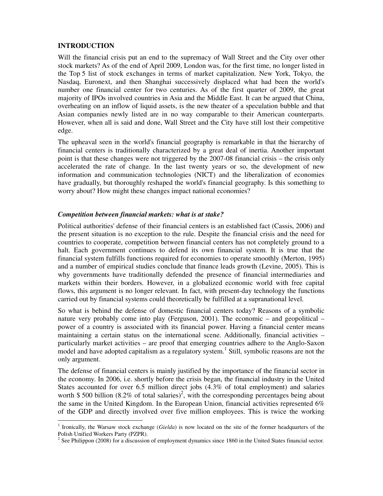#### **INTRODUCTION**

 $\overline{a}$ 

Will the financial crisis put an end to the supremacy of Wall Street and the City over other stock markets? As of the end of April 2009, London was, for the first time, no longer listed in the Top 5 list of stock exchanges in terms of market capitalization. New York, Tokyo, the Nasdaq, Euronext, and then Shanghai successively displaced what had been the world's number one financial center for two centuries. As of the first quarter of 2009, the great majority of IPOs involved countries in Asia and the Middle East. It can be argued that China, overheating on an inflow of liquid assets, is the new theater of a speculation bubble and that Asian companies newly listed are in no way comparable to their American counterparts. However, when all is said and done, Wall Street and the City have still lost their competitive edge.

The upheaval seen in the world's financial geography is remarkable in that the hierarchy of financial centers is traditionally characterized by a great deal of inertia. Another important point is that these changes were not triggered by the 2007-08 financial crisis – the crisis only accelerated the rate of change. In the last twenty years or so, the development of new information and communication technologies (NICT) and the liberalization of economies have gradually, but thoroughly reshaped the world's financial geography. Is this something to worry about? How might these changes impact national economies?

#### *Competition between financial markets: what is at stake?*

Political authorities' defense of their financial centers is an established fact (Cassis, 2006) and the present situation is no exception to the rule. Despite the financial crisis and the need for countries to cooperate, competition between financial centers has not completely ground to a halt. Each government continues to defend its own financial system. It is true that the financial system fulfills functions required for economies to operate smoothly (Merton, 1995) and a number of empirical studies conclude that finance leads growth (Levine, 2005). This is why governments have traditionally defended the presence of financial intermediaries and markets within their borders. However, in a globalized economic world with free capital flows, this argument is no longer relevant. In fact, with present-day technology the functions carried out by financial systems could theoretically be fulfilled at a supranational level.

So what is behind the defense of domestic financial centers today? Reasons of a symbolic nature very probably come into play (Ferguson, 2001). The economic – and geopolitical – power of a country is associated with its financial power. Having a financial center means maintaining a certain status on the international scene. Additionally, financial activities – particularly market activities – are proof that emerging countries adhere to the Anglo-Saxon model and have adopted capitalism as a regulatory system.<sup>1</sup> Still, symbolic reasons are not the only argument.

The defense of financial centers is mainly justified by the importance of the financial sector in the economy. In 2006, i.e. shortly before the crisis began, the financial industry in the United States accounted for over 6.5 million direct jobs (4.3% of total employment) and salaries worth \$500 billion (8.2% of total salaries)<sup>2</sup>, with the corresponding percentages being about the same in the United Kingdom. In the European Union, financial activities represented 6% of the GDP and directly involved over five million employees. This is twice the working

<sup>&</sup>lt;sup>1</sup> Ironically, the Warsaw stock exchange (*Gielda*) is now located on the site of the former headquarters of the Polish Unified Workers Party (PZPR).

 $2^2$  See Philippon (2008) for a discussion of employment dynamics since 1860 in the United States financial sector.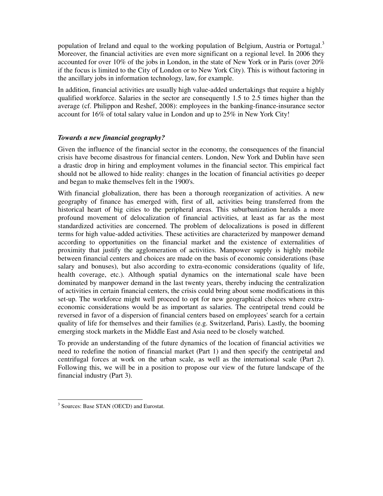population of Ireland and equal to the working population of Belgium, Austria or Portugal.<sup>3</sup> Moreover, the financial activities are even more significant on a regional level. In 2006 they accounted for over 10% of the jobs in London, in the state of New York or in Paris (over 20% if the focus is limited to the City of London or to New York City). This is without factoring in the ancillary jobs in information technology, law, for example.

In addition, financial activities are usually high value-added undertakings that require a highly qualified workforce. Salaries in the sector are consequently 1.5 to 2.5 times higher than the average (cf. Philippon and Reshef, 2008): employees in the banking-finance-insurance sector account for 16% of total salary value in London and up to 25% in New York City!

#### *Towards a new financial geography?*

Given the influence of the financial sector in the economy, the consequences of the financial crisis have become disastrous for financial centers. London, New York and Dublin have seen a drastic drop in hiring and employment volumes in the financial sector. This empirical fact should not be allowed to hide reality: changes in the location of financial activities go deeper and began to make themselves felt in the 1900's.

With financial globalization, there has been a thorough reorganization of activities. A new geography of finance has emerged with, first of all, activities being transferred from the historical heart of big cities to the peripheral areas. This suburbanization heralds a more profound movement of delocalization of financial activities, at least as far as the most standardized activities are concerned. The problem of delocalizations is posed in different terms for high value-added activities. These activities are characterized by manpower demand according to opportunities on the financial market and the existence of externalities of proximity that justify the agglomeration of activities. Manpower supply is highly mobile between financial centers and choices are made on the basis of economic considerations (base salary and bonuses), but also according to extra-economic considerations (quality of life, health coverage, etc.). Although spatial dynamics on the international scale have been dominated by manpower demand in the last twenty years, thereby inducing the centralization of activities in certain financial centers, the crisis could bring about some modifications in this set-up. The workforce might well proceed to opt for new geographical choices where extraeconomic considerations would be as important as salaries. The centripetal trend could be reversed in favor of a dispersion of financial centers based on employees' search for a certain quality of life for themselves and their families (e.g. Switzerland, Paris). Lastly, the booming emerging stock markets in the Middle East and Asia need to be closely watched.

To provide an understanding of the future dynamics of the location of financial activities we need to redefine the notion of financial market (Part 1) and then specify the centripetal and centrifugal forces at work on the urban scale, as well as the international scale (Part 2). Following this, we will be in a position to propose our view of the future landscape of the financial industry (Part 3).

 $\ddot{\phantom{a}}$ <sup>3</sup> Sources: Base STAN (OECD) and Eurostat.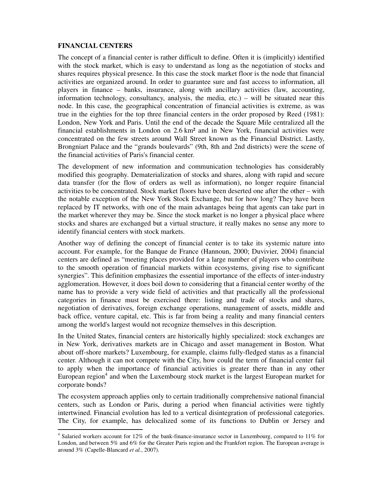#### **FINANCIAL CENTERS**

 $\ddot{\phantom{a}}$ 

The concept of a financial center is rather difficult to define. Often it is (implicitly) identified with the stock market, which is easy to understand as long as the negotiation of stocks and shares requires physical presence. In this case the stock market floor is the node that financial activities are organized around. In order to guarantee sure and fast access to information, all players in finance – banks, insurance, along with ancillary activities (law, accounting, information technology, consultancy, analysis, the media, etc.) – will be situated near this node. In this case, the geographical concentration of financial activities is extreme, as was true in the eighties for the top three financial centers in the order proposed by Reed (1981): London, New York and Paris. Until the end of the decade the Square Mile centralized all the financial establishments in London on 2.6 km² and in New York, financial activities were concentrated on the few streets around Wall Street known as the Financial District. Lastly, Brongniart Palace and the "grands boulevards" (9th, 8th and 2nd districts) were the scene of the financial activities of Paris's financial center.

The development of new information and communication technologies has considerably modified this geography. Dematerialization of stocks and shares, along with rapid and secure data transfer (for the flow of orders as well as information), no longer require financial activities to be concentrated. Stock market floors have been deserted one after the other – with the notable exception of the New York Stock Exchange, but for how long? They have been replaced by IT networks, with one of the main advantages being that agents can take part in the market wherever they may be. Since the stock market is no longer a physical place where stocks and shares are exchanged but a virtual structure, it really makes no sense any more to identify financial centers with stock markets.

Another way of defining the concept of financial center is to take its systemic nature into account. For example, for the Banque de France (Hannoun, 2000; Duvivier, 2004) financial centers are defined as "meeting places provided for a large number of players who contribute to the smooth operation of financial markets within ecosystems, giving rise to significant synergies". This definition emphasizes the essential importance of the effects of inter-industry agglomeration. However, it does boil down to considering that a financial center worthy of the name has to provide a very wide field of activities and that practically all the professional categories in finance must be exercised there: listing and trade of stocks and shares, negotiation of derivatives, foreign exchange operations, management of assets, middle and back office, venture capital, etc. This is far from being a reality and many financial centers among the world's largest would not recognize themselves in this description.

In the United States, financial centers are historically highly specialized: stock exchanges are in New York, derivatives markets are in Chicago and asset management in Boston. What about off-shore markets? Luxembourg, for example, claims fully-fledged status as a financial center. Although it can not compete with the City, how could the term of financial center fail to apply when the importance of financial activities is greater there than in any other European region<sup>4</sup> and when the Luxembourg stock market is the largest European market for corporate bonds?

The ecosystem approach applies only to certain traditionally comprehensive national financial centers, such as London or Paris, during a period when financial activities were tightly intertwined. Financial evolution has led to a vertical disintegration of professional categories. The City, for example, has delocalized some of its functions to Dublin or Jersey and

<sup>&</sup>lt;sup>4</sup> Salaried workers account for 12% of the bank-finance-insurance sector in Luxembourg, compared to 11% for London, and between 5% and 6% for the Greater Paris region and the Frankfort region. The European average is around 3% (Capelle-Blancard *et al.*, 2007).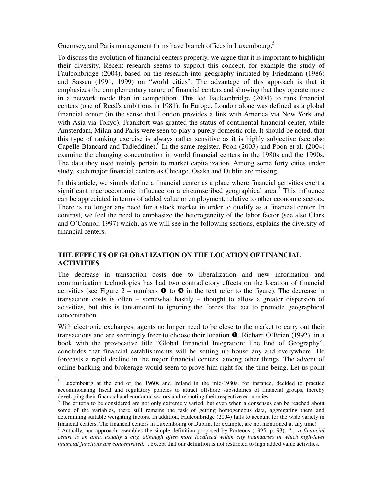Guernsey, and Paris management firms have branch offices in Luxembourg.<sup>5</sup>

To discuss the evolution of financial centers properly, we argue that it is important to highlight their diversity. Recent research seems to support this concept, for example the study of Faulconbridge (2004), based on the research into geography initiated by Friedmann (1986) and Sassen (1991, 1999) on "world cities". The advantage of this approach is that it emphasizes the complementary nature of financial centers and showing that they operate more in a network mode than in competition. This led Faulconbridge (2004) to rank financial centers (one of Reed's ambitions in 1981). In Europe, London alone was defined as a global financial center (in the sense that London provides a link with America via New York and with Asia via Tokyo). Frankfort was granted the status of continental financial center, while Amsterdam, Milan and Paris were seen to play a purely domestic role. It should be noted, that this type of ranking exercise is always rather sensitive as it is highly subjective (see also Capelle-Blancard and Tadjeddine). <sup>6</sup> In the same register, Poon (2003) and Poon et al. (2004) examine the changing concentration in world financial centers in the 1980s and the 1990s. The data they used mainly pertain to market capitalization. Among some forty cities under study, such major financial centers as Chicago, Osaka and Dublin are missing.

In this article, we simply define a financial center as a place where financial activities exert a significant macroeconomic influence on a circumscribed geographical area.<sup>7</sup> This influence can be appreciated in terms of added value or employment, relative to other economic sectors. There is no longer any need for a stock market in order to qualify as a financial center. In contrast, we feel the need to emphasize the heterogeneity of the labor factor (see also Clark and O'Connor, 1997) which, as we will see in the following sections, explains the diversity of financial centers.

#### **THE EFFECTS OF GLOBALIZATION ON THE LOCATION OF FINANCIAL ACTIVITIES**

The decrease in transaction costs due to liberalization and new information and communication technologies has had two contradictory effects on the location of financial activities (see Figure 2 – numbers  $\bullet$  to  $\bullet$  in the text refer to the figure). The decrease in transaction costs is often – somewhat hastily – thought to allow a greater dispersion of activities, but this is tantamount to ignoring the forces that act to promote geographical concentration.

With electronic exchanges, agents no longer need to be close to the market to carry out their transactions and are seemingly freer to choose their location  $\bullet$ . Richard O'Brien (1992), in a book with the provocative title "Global Financial Integration: The End of Geography", concludes that financial establishments will be setting up house any and everywhere. He forecasts a rapid decline in the major financial centers, among other things. The advent of online banking and brokerage would seem to prove him right for the time being. Let us point

<sup>&</sup>lt;sup>5</sup> Luxembourg at the end of the 1960s and Ireland in the mid-1980s, for instance, decided to practice accommodating fiscal and regulatory policies to attract offshore subsidiaries of financial groups, thereby developing their financial and economic sectors and rebooting their respective economies.

<sup>&</sup>lt;sup>6</sup> The criteria to be considered are not only extremely varied, but even when a consensus can be reached about some of the variables, there still remains the task of getting homogeneous data, aggregating them and determining suitable weighting factors. In addition, Faulconbridge (2004) fails to account for the wide variety in financial centers. The financial centers in Luxembourg or Dublin, for example, are not mentioned at any time!

<sup>7</sup> Actually, our approach resembles the simple definition proposed by Porteous (1995, p. 93): "*… a financial centre is an area, usually a city, although often more localized within city boundaries in which high-level financial functions are concentrated."*, except that our definition is not restricted to high added value activities.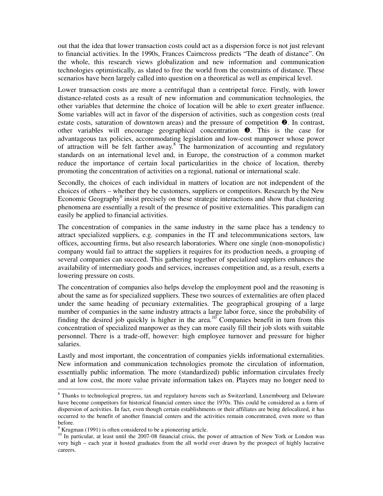out that the idea that lower transaction costs could act as a dispersion force is not just relevant to financial activities. In the 1990s, Frances Cairncross predicts "The death of distance". On the whole, this research views globalization and new information and communication technologies optimistically, as slated to free the world from the constraints of distance. These scenarios have been largely called into question on a theoretical as well as empirical level.

Lower transaction costs are more a centrifugal than a centripetal force. Firstly, with lower distance-related costs as a result of new information and communication technologies, the other variables that determine the choice of location will be able to exert greater influence. Some variables will act in favor of the dispersion of activities, such as congestion costs (real estate costs, saturation of downtown areas) and the pressure of competition  $\bullet$ . In contrast, other variables will encourage geographical concentration  $\bullet$ . This is the case for advantageous tax policies, accommodating legislation and low-cost manpower whose power of attraction will be felt farther away.<sup>8</sup> The harmonization of accounting and regulatory standards on an international level and, in Europe, the construction of a common market reduce the importance of certain local particularities in the choice of location, thereby promoting the concentration of activities on a regional, national or international scale.

Secondly, the choices of each individual in matters of location are not independent of the choices of others – whether they be customers, suppliers or competitors. Research by the New Economic Geography<sup>9</sup> insist precisely on these strategic interactions and show that clustering phenomena are essentially a result of the presence of positive externalities. This paradigm can easily be applied to financial activities.

The concentration of companies in the same industry in the same place has a tendency to attract specialized suppliers, e.g. companies in the IT and telecommunications sectors, law offices, accounting firms, but also research laboratories. Where one single (non-monopolistic) company would fail to attract the suppliers it requires for its production needs, a grouping of several companies can succeed. This gathering together of specialized suppliers enhances the availability of intermediary goods and services, increases competition and, as a result, exerts a lowering pressure on costs.

The concentration of companies also helps develop the employment pool and the reasoning is about the same as for specialized suppliers. These two sources of externalities are often placed under the same heading of pecuniary externalities. The geographical grouping of a large number of companies in the same industry attracts a large labor force, since the probability of finding the desired job quickly is higher in the area.<sup>10</sup> Companies benefit in turn from this concentration of specialized manpower as they can more easily fill their job slots with suitable personnel. There is a trade-off, however: high employee turnover and pressure for higher salaries.

Lastly and most important, the concentration of companies yields informational externalities. New information and communication technologies promote the circulation of information, essentially public information. The more (standardized) public information circulates freely and at low cost, the more value private information takes on. Players may no longer need to

<sup>&</sup>lt;sup>8</sup> Thanks to technological progress, tax and regulatory havens such as Switzerland, Luxembourg and Delaware have become competitors for historical financial centers since the 1970s. This could be considered as a form of dispersion of activities. In fact, even though certain establishments or their affiliates are being delocalized, it has occurred to the benefit of another financial centers and the activities remain concentrated, even more so than before.

<sup>&</sup>lt;sup>9</sup> Krugman (1991) is often considered to be a pioneering article.

<sup>&</sup>lt;sup>10</sup> In particular, at least until the 2007-08 financial crisis, the power of attraction of New York or London was very high – each year it hosted graduates from the all world over drawn by the prospect of highly lucrative careers.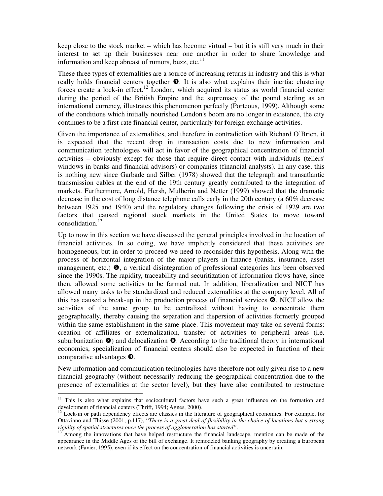keep close to the stock market – which has become virtual – but it is still very much in their interest to set up their businesses near one another in order to share knowledge and information and keep abreast of rumors, buzz, etc. $^{11}$ 

These three types of externalities are a source of increasing returns in industry and this is what really holds financial centers together  $\bullet$ . It is also what explains their inertia: clustering forces create a lock-in effect.<sup>12</sup> London, which acquired its status as world financial center during the period of the British Empire and the supremacy of the pound sterling as an international currency, illustrates this phenomenon perfectly (Porteous, 1999). Although some of the conditions which initially nourished London's boom are no longer in existence, the city continues to be a first-rate financial center, particularly for foreign exchange activities.

Given the importance of externalities, and therefore in contradiction with Richard O'Brien, it is expected that the recent drop in transaction costs due to new information and communication technologies will act in favor of the geographical concentration of financial activities – obviously except for those that require direct contact with individuals (tellers' windows in banks and financial advisors) or companies (financial analysts). In any case, this is nothing new since Garbade and Silber (1978) showed that the telegraph and transatlantic transmission cables at the end of the 19th century greatly contributed to the integration of markets. Furthermore, Arnold, Hersh, Mulherin and Netter (1999) showed that the dramatic decrease in the cost of long distance telephone calls early in the 20th century (a 60% decrease between 1925 and 1940) and the regulatory changes following the crisis of 1929 are two factors that caused regional stock markets in the United States to move toward consolidation.<sup>13</sup>

Up to now in this section we have discussed the general principles involved in the location of financial activities. In so doing, we have implicitly considered that these activities are homogeneous, but in order to proceed we need to reconsider this hypothesis. Along with the process of horizontal integration of the major players in finance (banks, insurance, asset management, etc.)  $\bullet$ , a vertical disintegration of professional categories has been observed since the 1990s. The rapidity, traceability and securitization of information flows have, since then, allowed some activities to be farmed out. In addition, liberalization and NICT has allowed many tasks to be standardized and reduced externalities at the company level. All of this has caused a break-up in the production process of financial services  $\bullet$ . NICT allow the activities of the same group to be centralized without having to concentrate them geographically, thereby causing the separation and dispersion of activities formerly grouped within the same establishment in the same place. This movement may take on several forms: creation of affiliates or externalization, transfer of activities to peripheral areas (i.e. suburbanization  $\odot$ ) and delocalization  $\odot$ . According to the traditional theory in international economics, specialization of financial centers should also be expected in function of their comparative advantages  $\boldsymbol{\Theta}$ .

New information and communication technologies have therefore not only given rise to a new financial geography (without necessarily reducing the geographical concentration due to the presence of externalities at the sector level), but they have also contributed to restructure

 $11$  This is also what explains that sociocultural factors have such a great influence on the formation and development of financial centers (Thrift, 1994; Agnes, 2000).

 $12$  Lock-in or path dependency effects are classics in the literature of geographical economics. For example, for Ottaviano and Thisse (2001, p.117), "*There is a great deal of flexibility in the choice of locations but a strong rigidity of spatial structures once the process of agglomeration has started"*.

Among the innovations that have helped restructure the financial landscape, mention can be made of the appearance in the Middle Ages of the bill of exchange. It remodeled banking geography by creating a European network (Favier, 1995), even if its effect on the concentration of financial activities is uncertain.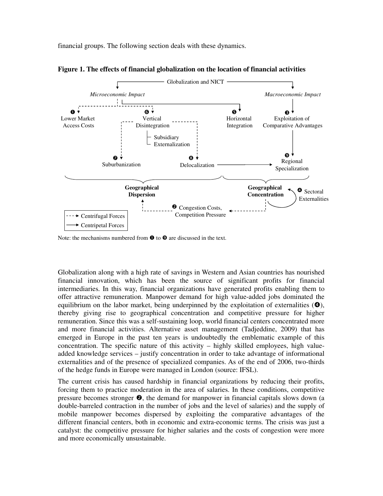financial groups. The following section deals with these dynamics.





Note: the mechanisms numbered from  $\bullet$  to  $\bullet$  are discussed in the text.

Globalization along with a high rate of savings in Western and Asian countries has nourished financial innovation, which has been the source of significant profits for financial intermediaries. In this way, financial organizations have generated profits enabling them to offer attractive remuneration. Manpower demand for high value-added jobs dominated the equilibrium on the labor market, being underpinned by the exploitation of externalities  $(\bullet)$ , thereby giving rise to geographical concentration and competitive pressure for higher remuneration. Since this was a self-sustaining loop, world financial centers concentrated more and more financial activities. Alternative asset management (Tadjeddine, 2009) that has emerged in Europe in the past ten years is undoubtedly the emblematic example of this concentration. The specific nature of this activity – highly skilled employees, high valueadded knowledge services – justify concentration in order to take advantage of informational externalities and of the presence of specialized companies. As of the end of 2006, two-thirds of the hedge funds in Europe were managed in London (source: IFSL).

The current crisis has caused hardship in financial organizations by reducing their profits, forcing them to practice moderation in the area of salaries. In these conditions, competitive pressure becomes stronger  $\bullet$ , the demand for manpower in financial capitals slows down (a double-barreled contraction in the number of jobs and the level of salaries) and the supply of mobile manpower becomes dispersed by exploiting the comparative advantages of the different financial centers, both in economic and extra-economic terms. The crisis was just a catalyst: the competitive pressure for higher salaries and the costs of congestion were more and more economically unsustainable.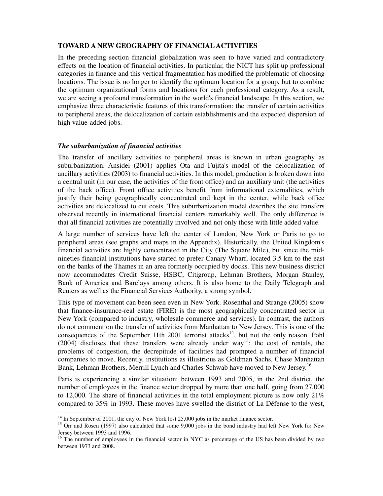#### **TOWARD A NEW GEOGRAPHY OF FINANCIAL ACTIVITIES**

In the preceding section financial globalization was seen to have varied and contradictory effects on the location of financial activities. In particular, the NICT has split up professional categories in finance and this vertical fragmentation has modified the problematic of choosing locations. The issue is no longer to identify the optimum location for a group, but to combine the optimum organizational forms and locations for each professional category. As a result, we are seeing a profound transformation in the world's financial landscape. In this section, we emphasize three characteristic features of this transformation: the transfer of certain activities to peripheral areas, the delocalization of certain establishments and the expected dispersion of high value-added jobs.

#### *The suburbanization of financial activities*

The transfer of ancillary activities to peripheral areas is known in urban geography as suburbanization. Ansidei (2001) applies Ota and Fujita's model of the delocalization of ancillary activities (2003) to financial activities. In this model, production is broken down into a central unit (in our case, the activities of the front office) and an auxiliary unit (the activities of the back office). Front office activities benefit from informational externalities, which justify their being geographically concentrated and kept in the center, while back office activities are delocalized to cut costs. This suburbanization model describes the site transfers observed recently in international financial centers remarkably well. The only difference is that all financial activities are potentially involved and not only those with little added value.

A large number of services have left the center of London, New York or Paris to go to peripheral areas (see graphs and maps in the Appendix). Historically, the United Kingdom's financial activities are highly concentrated in the City (The Square Mile), but since the midnineties financial institutions have started to prefer Canary Wharf, located 3.5 km to the east on the banks of the Thames in an area formerly occupied by docks. This new business district now accommodates Credit Suisse, HSBC, Citigroup, Lehman Brothers, Morgan Stanley, Bank of America and Barclays among others. It is also home to the Daily Telegraph and Reuters as well as the Financial Services Authority, a strong symbol.

This type of movement can been seen even in New York. Rosenthal and Strange (2005) show that finance-insurance-real estate (FIRE) is the most geographically concentrated sector in New York (compared to industry, wholesale commerce and services). In contrast, the authors do not comment on the transfer of activities from Manhattan to New Jersey. This is one of the consequences of the September 11th 2001 terrorist attacks<sup>14</sup>, but not the only reason. Pohl  $(2004)$  discloses that these transfers were already under way<sup>15</sup>: the cost of rentals, the problems of congestion, the decrepitude of facilities had prompted a number of financial companies to move. Recently, institutions as illustrious as Goldman Sachs, Chase Manhattan Bank, Lehman Brothers, Merrill Lynch and Charles Schwab have moved to New Jersey.<sup>16</sup>

Paris is experiencing a similar situation: between 1993 and 2005, in the 2nd district, the number of employees in the finance sector dropped by more than one half, going from 27,000 to 12,000. The share of financial activities in the total employment picture is now only  $21\%$ compared to 35% in 1993. These moves have swelled the district of La Défense to the west,

 $\ddot{\phantom{a}}$  $14$  In September of 2001, the city of New York lost 25,000 jobs in the market finance sector.

<sup>&</sup>lt;sup>15</sup> Orr and Rosen (1997) also calculated that some 9,000 jobs in the bond industry had left New York for New Jersey between 1993 and 1996.

 $16$  The number of employees in the financial sector in NYC as percentage of the US has been divided by two between 1973 and 2008.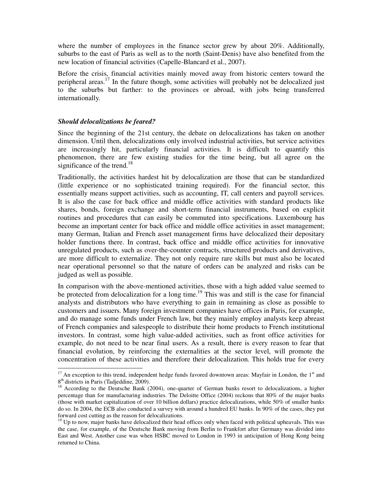where the number of employees in the finance sector grew by about 20%. Additionally, suburbs to the east of Paris as well as to the north (Saint-Denis) have also benefited from the new location of financial activities (Capelle-Blancard et al., 2007).

Before the crisis, financial activities mainly moved away from historic centers toward the peripheral areas.<sup>17</sup> In the future though, some activities will probably not be delocalized just to the suburbs but farther: to the provinces or abroad, with jobs being transferred internationally.

#### *Should delocalizations be feared?*

 $\ddot{\phantom{a}}$ 

Since the beginning of the 21st century, the debate on delocalizations has taken on another dimension. Until then, delocalizations only involved industrial activities, but service activities are increasingly hit, particularly financial activities. It is difficult to quantify this phenomenon, there are few existing studies for the time being, but all agree on the significance of the trend.<sup>18</sup>

Traditionally, the activities hardest hit by delocalization are those that can be standardized (little experience or no sophisticated training required). For the financial sector, this essentially means support activities, such as accounting, IT, call centers and payroll services. It is also the case for back office and middle office activities with standard products like shares, bonds, foreign exchange and short-term financial instruments, based on explicit routines and procedures that can easily be commuted into specifications. Luxembourg has become an important center for back office and middle office activities in asset management; many German, Italian and French asset management firms have delocalized their depositary holder functions there. In contrast, back office and middle office activities for innovative unregulated products, such as over-the-counter contracts, structured products and derivatives, are more difficult to externalize. They not only require rare skills but must also be located near operational personnel so that the nature of orders can be analyzed and risks can be judged as well as possible.

In comparison with the above-mentioned activities, those with a high added value seemed to be protected from delocalization for a long time.<sup>19</sup> This was and still is the case for financial analysts and distributors who have everything to gain in remaining as close as possible to customers and issuers. Many foreign investment companies have offices in Paris, for example, and do manage some funds under French law, but they mainly employ analysts keep abreast of French companies and salespeople to distribute their home products to French institutional investors. In contrast, some high value-added activities, such as front office activities for example, do not need to be near final users. As a result, there is every reason to fear that financial evolution, by reinforcing the externalities at the sector level, will promote the concentration of these activities and therefore their delocalization. This holds true for every

<sup>&</sup>lt;sup>17</sup> An exception to this trend, independent hedge funds favored downtown areas: Mayfair in London, the 1<sup>st</sup> and 8 th districts in Paris (Tadjeddine, 2009).

<sup>&</sup>lt;sup>18</sup> According to the Deutsche Bank (2004), one-quarter of German banks resort to delocalizations, a higher percentage than for manufacturing industries. The Deloitte Office (2004) reckons that 80% of the major banks (those with market capitalization of over 10 billion dollars) practice delocalizations, while 50% of smaller banks do so. In 2004, the ECB also conducted a survey with around a hundred EU banks. In 90% of the cases, they put forward cost cutting as the reason for delocalizations.

 $19$  Up to now, major banks have delocalized their head offices only when faced with political upheavals. This was the case, for example, of the Deutsche Bank moving from Berlin to Frankfort after Germany was divided into East and West. Another case was when HSBC moved to London in 1993 in anticipation of Hong Kong being returned to China.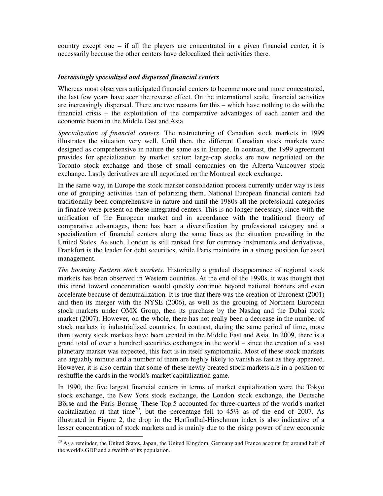country except one – if all the players are concentrated in a given financial center, it is necessarily because the other centers have delocalized their activities there.

#### *Increasingly specialized and dispersed financial centers*

Whereas most observers anticipated financial centers to become more and more concentrated, the last few years have seen the reverse effect. On the international scale, financial activities are increasingly dispersed. There are two reasons for this – which have nothing to do with the financial crisis – the exploitation of the comparative advantages of each center and the economic boom in the Middle East and Asia.

*Specialization of financial centers*. The restructuring of Canadian stock markets in 1999 illustrates the situation very well. Until then, the different Canadian stock markets were designed as comprehensive in nature the same as in Europe. In contrast, the 1999 agreement provides for specialization by market sector: large-cap stocks are now negotiated on the Toronto stock exchange and those of small companies on the Alberta-Vancouver stock exchange. Lastly derivatives are all negotiated on the Montreal stock exchange.

In the same way, in Europe the stock market consolidation process currently under way is less one of grouping activities than of polarizing them. National European financial centers had traditionally been comprehensive in nature and until the 1980s all the professional categories in finance were present on these integrated centers. This is no longer necessary, since with the unification of the European market and in accordance with the traditional theory of comparative advantages, there has been a diversification by professional category and a specialization of financial centers along the same lines as the situation prevailing in the United States. As such, London is still ranked first for currency instruments and derivatives, Frankfort is the leader for debt securities, while Paris maintains in a strong position for asset management.

*The booming Eastern stock markets*. Historically a gradual disappearance of regional stock markets has been observed in Western countries. At the end of the 1990s, it was thought that this trend toward concentration would quickly continue beyond national borders and even accelerate because of demutualization. It is true that there was the creation of Euronext (2001) and then its merger with the NYSE (2006), as well as the grouping of Northern European stock markets under OMX Group, then its purchase by the Nasdaq and the Dubai stock market (2007). However, on the whole, there has not really been a decrease in the number of stock markets in industrialized countries. In contrast, during the same period of time, more than twenty stock markets have been created in the Middle East and Asia. In 2009, there is a grand total of over a hundred securities exchanges in the world – since the creation of a vast planetary market was expected, this fact is in itself symptomatic. Most of these stock markets are arguably minute and a number of them are highly likely to vanish as fast as they appeared. However, it is also certain that some of these newly created stock markets are in a position to reshuffle the cards in the world's market capitalization game.

In 1990, the five largest financial centers in terms of market capitalization were the Tokyo stock exchange, the New York stock exchange, the London stock exchange, the Deutsche Börse and the Paris Bourse. These Top 5 accounted for three-quarters of the world's market capitalization at that time<sup>20</sup>, but the percentage fell to  $45\%$  as of the end of 2007. As illustrated in Figure 2, the drop in the Herfindhal-Hirschman index is also indicative of a lesser concentration of stock markets and is mainly due to the rising power of new economic

 $\ddot{\phantom{a}}$ 

<sup>&</sup>lt;sup>20</sup> As a reminder, the United States, Japan, the United Kingdom, Germany and France account for around half of the world's GDP and a twelfth of its population.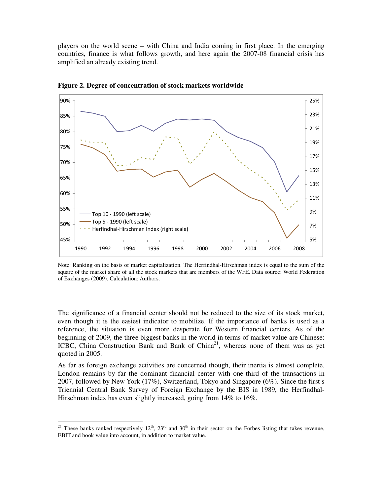players on the world scene – with China and India coming in first place. In the emerging countries, finance is what follows growth, and here again the 2007-08 financial crisis has amplified an already existing trend.



**Figure 2. Degree of concentration of stock markets worldwide**

The significance of a financial center should not be reduced to the size of its stock market, even though it is the easiest indicator to mobilize. If the importance of banks is used as a reference, the situation is even more desperate for Western financial centers. As of the beginning of 2009, the three biggest banks in the world in terms of market value are Chinese: ICBC, China Construction Bank and Bank of China<sup>21</sup>, whereas none of them was as yet quoted in 2005.

As far as foreign exchange activities are concerned though, their inertia is almost complete. London remains by far the dominant financial center with one-third of the transactions in 2007, followed by New York (17%), Switzerland, Tokyo and Singapore (6%). Since the first s Triennial Central Bank Survey of Foreign Exchange by the BIS in 1989, the Herfindhal-Hirschman index has even slightly increased, going from 14% to 16%.

Note: Ranking on the basis of market capitalization. The Herfindhal-Hirschman index is equal to the sum of the square of the market share of all the stock markets that are members of the WFE. Data source: World Federation of Exchanges (2009). Calculation: Authors.

<sup>&</sup>lt;sup>21</sup> These banks ranked respectively  $12<sup>th</sup>$ ,  $23<sup>rd</sup>$  and  $30<sup>th</sup>$  in their sector on the Forbes listing that takes revenue, EBIT and book value into account, in addition to market value.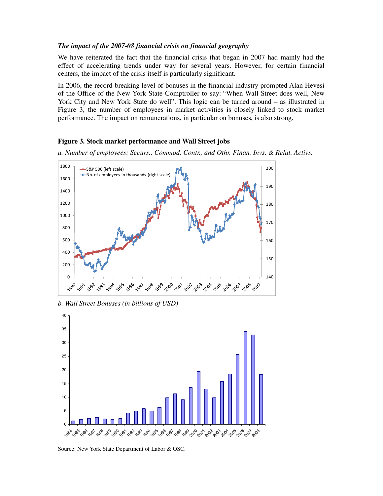#### *The impact of the 2007-08 financial crisis on financial geography*

We have reiterated the fact that the financial crisis that began in 2007 had mainly had the effect of accelerating trends under way for several years. However, for certain financial centers, the impact of the crisis itself is particularly significant.

In 2006, the record-breaking level of bonuses in the financial industry prompted Alan Hevesi of the Office of the New York State Comptroller to say: "When Wall Street does well, New York City and New York State do well". This logic can be turned around – as illustrated in Figure 3, the number of employees in market activities is closely linked to stock market performance. The impact on remunerations, in particular on bonuses, is also strong.

#### **Figure 3. Stock market performance and Wall Street jobs**

*a. Number of employees: Securs., Commod. Contr., and Othr. Finan. Invs. & Relat. Activs.* 



*b. Wall Street Bonuses (in billions of USD)* 



Source: New York State Department of Labor & OSC.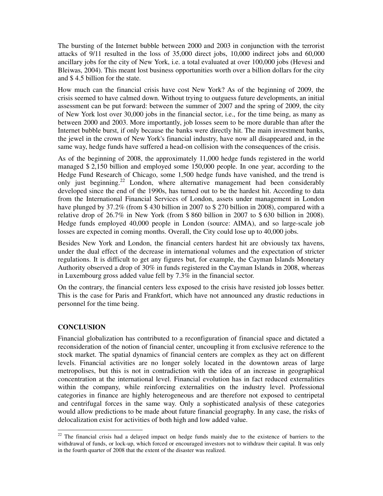The bursting of the Internet bubble between 2000 and 2003 in conjunction with the terrorist attacks of 9/11 resulted in the loss of 35,000 direct jobs, 10,000 indirect jobs and 60,000 ancillary jobs for the city of New York, i.e. a total evaluated at over 100,000 jobs (Hevesi and Bleiwas, 2004). This meant lost business opportunities worth over a billion dollars for the city and \$ 4.5 billion for the state.

How much can the financial crisis have cost New York? As of the beginning of 2009, the crisis seemed to have calmed down. Without trying to outguess future developments, an initial assessment can be put forward: between the summer of 2007 and the spring of 2009, the city of New York lost over 30,000 jobs in the financial sector, i.e., for the time being, as many as between 2000 and 2003. More importantly, job losses seem to be more durable than after the Internet bubble burst, if only because the banks were directly hit. The main investment banks, the jewel in the crown of New York's financial industry, have now all disappeared and, in the same way, hedge funds have suffered a head-on collision with the consequences of the crisis.

As of the beginning of 2008, the approximately 11,000 hedge funds registered in the world managed \$ 2,150 billion and employed some 150,000 people. In one year, according to the Hedge Fund Research of Chicago, some 1,500 hedge funds have vanished, and the trend is only just beginning.<sup>22</sup> London, where alternative management had been considerably developed since the end of the 1990s, has turned out to be the hardest hit. According to data from the International Financial Services of London, assets under management in London have plunged by 37.2% (from \$430 billion in 2007 to \$270 billion in 2008), compared with a relative drop of 26.7% in New York (from \$ 860 billion in 2007 to \$ 630 billion in 2008). Hedge funds employed 40,000 people in London (source: AIMA), and so large-scale job losses are expected in coming months. Overall, the City could lose up to 40,000 jobs.

Besides New York and London, the financial centers hardest hit are obviously tax havens, under the dual effect of the decrease in international volumes and the expectation of stricter regulations. It is difficult to get any figures but, for example, the Cayman Islands Monetary Authority observed a drop of 30% in funds registered in the Cayman Islands in 2008, whereas in Luxembourg gross added value fell by 7.3% in the financial sector.

On the contrary, the financial centers less exposed to the crisis have resisted job losses better. This is the case for Paris and Frankfort, which have not announced any drastic reductions in personnel for the time being.

#### **CONCLUSION**

 $\overline{a}$ 

Financial globalization has contributed to a reconfiguration of financial space and dictated a reconsideration of the notion of financial center, uncoupling it from exclusive reference to the stock market. The spatial dynamics of financial centers are complex as they act on different levels. Financial activities are no longer solely located in the downtown areas of large metropolises, but this is not in contradiction with the idea of an increase in geographical concentration at the international level. Financial evolution has in fact reduced externalities within the company, while reinforcing externalities on the industry level. Professional categories in finance are highly heterogeneous and are therefore not exposed to centripetal and centrifugal forces in the same way. Only a sophisticated analysis of these categories would allow predictions to be made about future financial geography. In any case, the risks of delocalization exist for activities of both high and low added value.

 $22$  The financial crisis had a delayed impact on hedge funds mainly due to the existence of barriers to the withdrawal of funds, or lock-up, which forced or encouraged investors not to withdraw their capital. It was only in the fourth quarter of 2008 that the extent of the disaster was realized.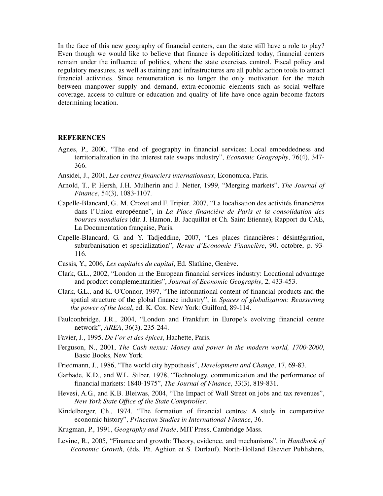In the face of this new geography of financial centers, can the state still have a role to play? Even though we would like to believe that finance is depoliticized today, financial centers remain under the influence of politics, where the state exercises control. Fiscal policy and regulatory measures, as well as training and infrastructures are all public action tools to attract financial activities. Since remuneration is no longer the only motivation for the match between manpower supply and demand, extra-economic elements such as social welfare coverage, access to culture or education and quality of life have once again become factors determining location.

#### **REFERENCES**

- Agnes, P., 2000, "The end of geography in financial services: Local embeddedness and territorialization in the interest rate swaps industry", *Economic Geography*, 76(4), 347- 366.
- Ansidei, J., 2001, *Les centres financiers internationaux*, Economica, Paris.
- Arnold, T., P. Hersh, J.H. Mulherin and J. Netter, 1999, "Merging markets", *The Journal of Finance*, 54(3), 1083-1107.
- Capelle-Blancard, G., M. Crozet and F. Tripier, 2007, "La localisation des activités financières dans l'Union européenne", in *La Place financière de Paris et la consolidation des bourses mondiales* (dir. J. Hamon, B. Jacquillat et Ch. Saint Etienne), Rapport du CAE, La Documentation française, Paris.
- Capelle-Blancard, G. and Y. Tadjeddine, 2007, "Les places financières : désintégration, suburbanisation et specialization", *Revue d'Economie Financière*, 90, octobre, p. 93- 116.
- Cassis, Y., 2006, *Les capitales du capital*, Ed. Slatkine, Genève.
- Clark, G.L., 2002, "London in the European financial services industry: Locational advantage and product complementarities", *Journal of Economic Geography*, 2, 433-453.
- Clark, G.L., and K. O'Connor, 1997, "The informational content of financial products and the spatial structure of the global finance industry", in *Spaces of globalization: Reasserting the power of the local*, ed. K. Cox. New York: Guilford, 89-114.
- Faulconbridge, J.R., 2004, "London and Frankfurt in Europe's evolving financial centre network", *AREA*, 36(3), 235-244.
- Favier, J., 1995, *De l'or et des épices*, Hachette, Paris.
- Ferguson, N., 2001, *The Cash nexus: Money and power in the modern world, 1700-2000*, Basic Books, New York.
- Friedmann, J., 1986, "The world city hypothesis", *Development and Change*, 17, 69-83.
- Garbade, K.D., and W.L. Silber, 1978, "Technology, communication and the performance of financial markets: 1840-1975", *The Journal of Finance*, 33(3), 819-831.
- Hevesi, A.G., and K.B. Bleiwas, 2004, "The Impact of Wall Street on jobs and tax revenues", *New York State Office of the State Comptroller*.
- Kindelberger, Ch., 1974, "The formation of financial centres: A study in comparative economic history", *Princeton Studies in International Finance*, 36.
- Krugman, P., 1991, *Geography and Trade*, MIT Press, Cambridge Mass.
- Levine, R., 2005, "Finance and growth: Theory, evidence, and mechanisms", in *Handbook of Economic Growth*, (éds. Ph. Aghion et S. Durlauf), North-Holland Elsevier Publishers,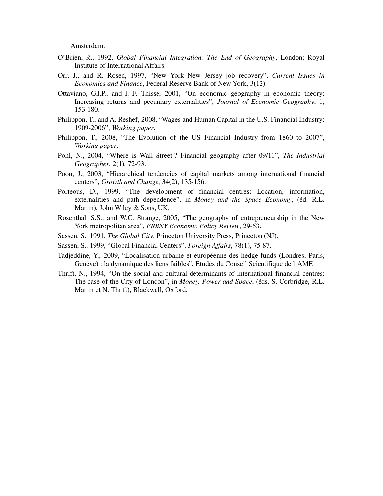Amsterdam.

- O'Brien, R., 1992, *Global Financial Integration: The End of Geography*, London: Royal Institute of International Affairs.
- Orr, J., and R. Rosen, 1997, "New York–New Jersey job recovery", *Current Issues in Economics and Finance*, Federal Reserve Bank of New York, 3(12).
- Ottaviano, G.I.P., and J.-F. Thisse, 2001, "On economic geography in economic theory: Increasing returns and pecuniary externalities", *Journal of Economic Geography*, 1, 153-180.
- Philippon, T., and A. Reshef, 2008, "Wages and Human Capital in the U.S. Financial Industry: 1909-2006", *Working paper*.
- Philippon, T., 2008, "The Evolution of the US Financial Industry from 1860 to 2007", *Working paper*.
- Pohl, N., 2004, "Where is Wall Street ? Financial geography after 09/11", *The Industrial Geographer*, 2(1), 72-93.
- Poon, J., 2003, "Hierarchical tendencies of capital markets among international financial centers", *Growth and Change*, 34(2), 135-156.
- Porteous, D., 1999, "The development of financial centres: Location, information, externalities and path dependence", in *Money and the Space Economy*, (éd. R.L. Martin), John Wiley & Sons, UK.
- Rosenthal, S.S., and W.C. Strange, 2005, "The geography of entrepreneurship in the New York metropolitan area", *FRBNY Economic Policy Review*, 29-53.
- Sassen, S., 1991, *The Global City*, Princeton University Press, Princeton (NJ).
- Sassen, S., 1999, "Global Financial Centers", *Foreign Affairs*, 78(1), 75-87.
- Tadjeddine, Y., 2009, "Localisation urbaine et européenne des hedge funds (Londres, Paris, Genève) : la dynamique des liens faibles", Etudes du Conseil Scientifique de l'AMF.
- Thrift, N., 1994, "On the social and cultural determinants of international financial centres: The case of the City of London", in *Money, Power and Space*, (éds. S. Corbridge, R.L. Martin et N. Thrift), Blackwell, Oxford.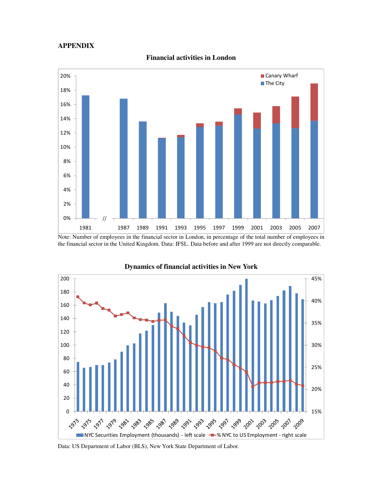#### **APPENDIX**



**Financial activities in London** 

Note: Number of employees in the financial sector in London, in percentage of the total number of employees in the financial sector in the United Kingdom. Data: IFSL. Data before and after 1999 are not directly comparable.



**Dynamics of financial activities in New York** 

Data: US Department of Labor (BLS), New York State Department of Labor.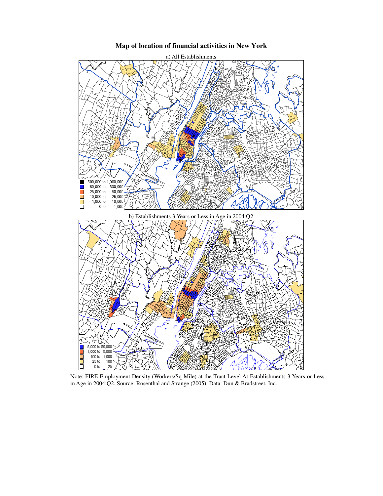

#### **Map of location of financial activities in New York**

Note: FIRE Employment Density (Workers/Sq Mile) at the Tract Level At Establishments 3 Years or Less in Age in 2004:Q2. Source: Rosenthal and Strange (2005). Data: Dun & Bradstreet, Inc.